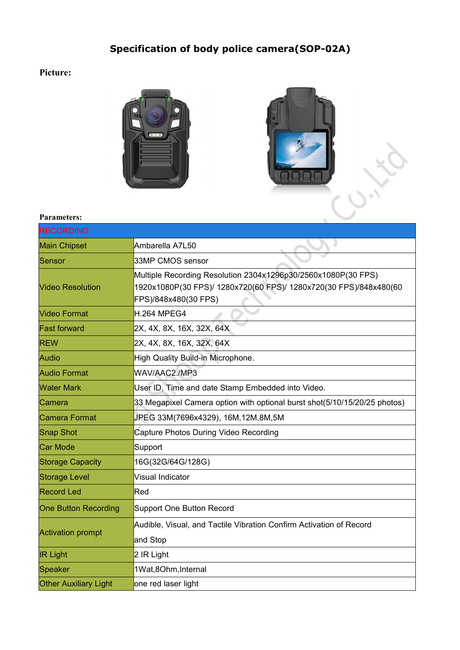## **Specification of body police camera(SOP-02A)**

## **Picture:**





## **Parameters:**

| <b>RECORDING</b>             |                                                                                                                                                            |
|------------------------------|------------------------------------------------------------------------------------------------------------------------------------------------------------|
| <b>Main Chipset</b>          | Ambarella A7L50                                                                                                                                            |
| Sensor                       | 33MP CMOS sensor                                                                                                                                           |
| <b>Video Resolution</b>      | Multiple Recording Resolution 2304x1296p30/2560x1080P(30 FPS)<br>1920x1080P(30 FPS)/ 1280x720(60 FPS)/ 1280x720(30 FPS)/848x480(60<br>FPS)/848x480(30 FPS) |
| <b>Video Format</b>          | <b>H.264 MPEG4</b>                                                                                                                                         |
| <b>Fast forward</b>          | 2X, 4X, 8X, 16X, 32X, 64X                                                                                                                                  |
| <b>REW</b>                   | 2X, 4X, 8X, 16X, 32X, 64X                                                                                                                                  |
| Audio                        | High Quality Build-in Microphone.                                                                                                                          |
| <b>Audio Format</b>          | WAV/AAC2./MP3                                                                                                                                              |
| <b>Water Mark</b>            | User ID, Time and date Stamp Embedded into Video.                                                                                                          |
| lCamera                      | 33 Megapixel Camera option with optional burst shot(5/10/15/20/25 photos)                                                                                  |
| Camera Format                | JPEG 33M(7696x4329), 16M,12M,8M,5M                                                                                                                         |
| Snap Shot                    | Capture Photos During Video Recording                                                                                                                      |
| Car Mode                     | Support                                                                                                                                                    |
| <b>Storage Capacity</b>      | 16G(32G/64G/128G)                                                                                                                                          |
| Storage Level                | Visual Indicator                                                                                                                                           |
| <b>Record Led</b>            | Red                                                                                                                                                        |
| <b>One Button Recording</b>  | Support One Button Record                                                                                                                                  |
| <b>Activation prompt</b>     | Audible, Visual, and Tactile Vibration Confirm Activation of Record                                                                                        |
|                              | and Stop                                                                                                                                                   |
| <b>IR Light</b>              | 2 IR Light                                                                                                                                                 |
| Speaker                      | 1Wat,8Ohm, Internal                                                                                                                                        |
| <b>Other Auxiliary Light</b> | one red laser light                                                                                                                                        |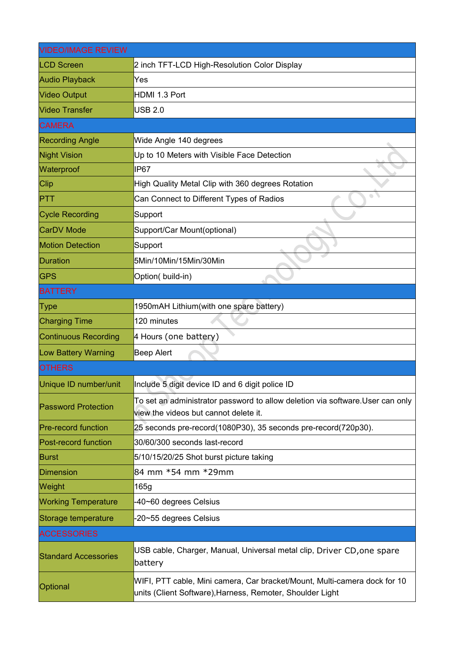| <b>VIDEO/IMAGE REVIEW</b>   |                                                                                                                                        |
|-----------------------------|----------------------------------------------------------------------------------------------------------------------------------------|
| <b>LCD Screen</b>           | 2 inch TFT-LCD High-Resolution Color Display                                                                                           |
| <b>Audio Playback</b>       | Yes                                                                                                                                    |
| <b>Video Output</b>         | HDMI 1.3 Port                                                                                                                          |
| <b>Video Transfer</b>       | <b>USB 2.0</b>                                                                                                                         |
| <b>CAMERA</b>               |                                                                                                                                        |
| <b>Recording Angle</b>      | Wide Angle 140 degrees                                                                                                                 |
| <b>Night Vision</b>         | Up to 10 Meters with Visible Face Detection                                                                                            |
| Waterproof                  | <b>IP67</b>                                                                                                                            |
| <b>Clip</b>                 | High Quality Metal Clip with 360 degrees Rotation                                                                                      |
| <b>PTT</b>                  | Can Connect to Different Types of Radios                                                                                               |
| <b>Cycle Recording</b>      | Support                                                                                                                                |
| <b>CarDV Mode</b>           | Support/Car Mount(optional)                                                                                                            |
| <b>Motion Detection</b>     | Support                                                                                                                                |
| Duration                    | 5Min/10Min/15Min/30Min                                                                                                                 |
| <b>GPS</b>                  | Option(build-in)                                                                                                                       |
| <b>BATTERY</b>              |                                                                                                                                        |
| Type                        | 1950mAH Lithium(with one spare battery)                                                                                                |
| <b>Charging Time</b>        | 120 minutes                                                                                                                            |
| <b>Continuous Recording</b> | 4 Hours (one battery)                                                                                                                  |
| Low Battery Warning         | <b>Beep Alert</b>                                                                                                                      |
| <b>OTHERS</b>               |                                                                                                                                        |
| Unique ID number/unit       | Include 5 digit device ID and 6 digit police ID                                                                                        |
| <b>Password Protection</b>  | To set an administrator password to allow deletion via software. User can only<br>view the videos but cannot delete it.                |
| <b>Pre-record function</b>  | 25 seconds pre-record(1080P30), 35 seconds pre-record(720p30).                                                                         |
| Post-record function        | 30/60/300 seconds last-record                                                                                                          |
| <b>Burst</b>                | 5/10/15/20/25 Shot burst picture taking                                                                                                |
| Dimension                   | 84 mm *54 mm *29mm                                                                                                                     |
| Weight                      | 165g                                                                                                                                   |
| <b>Working Temperature</b>  | -40~60 degrees Celsius                                                                                                                 |
| Storage temperature         | -20~55 degrees Celsius                                                                                                                 |
| <b>ACCESSORIES</b>          |                                                                                                                                        |
| <b>Standard Accessories</b> | USB cable, Charger, Manual, Universal metal clip, Driver CD, one spare<br>battery                                                      |
| Optional                    | WIFI, PTT cable, Mini camera, Car bracket/Mount, Multi-camera dock for 10<br>units (Client Software), Harness, Remoter, Shoulder Light |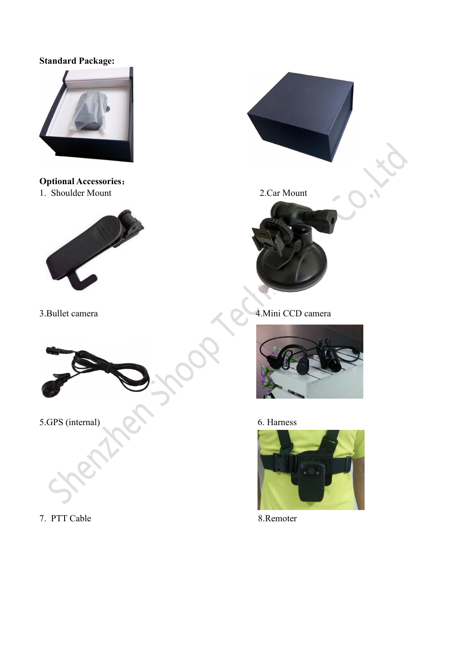## **Standard Package:**



**Optional Accessories:**<br>
1. Shoulder Mount 2.Car Mount 1. Shoulder Mount











7. PTT Cable 8.Remoter